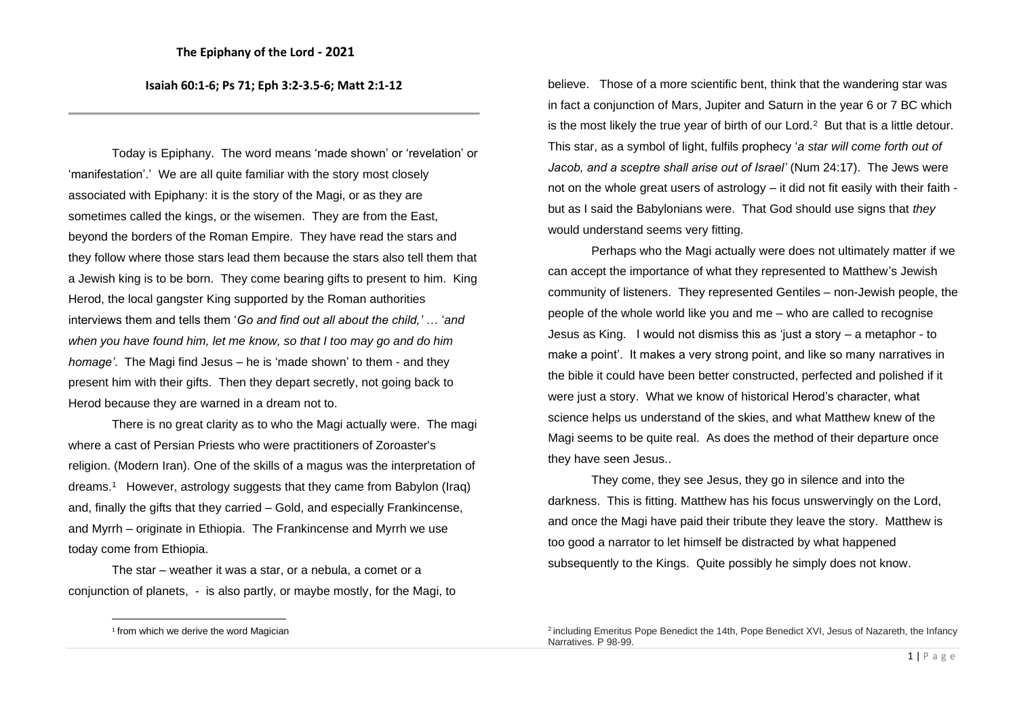**Isaiah 60:1-6; Ps 71; Eph 3:2-3.5-6; Matt 2:1-12**

Today is Epiphany. The word means 'made shown' or 'revelation' or 'manifestation'.' We are all quite familiar with the story most closely associated with Epiphany: it is the story of the Magi, or as they are sometimes called the kings, or the wisemen. They are from the East, beyond the borders of the Roman Empire. They have read the stars and they follow where those stars lead them because the stars also tell them that a Jewish king is to be born. They come bearing gifts to present to him. King Herod, the local gangster King supported by the Roman authorities interviews them and tells them '*Go and find out all about the child,'* … '*and when you have found him, let me know, so that I too may go and do him homage'*. The Magi find Jesus – he is 'made shown' to them - and they present him with their gifts. Then they depart secretly, not going back to Herod because they are warned in a dream not to.

There is no great clarity as to who the Magi actually were. The magi where a cast of Persian Priests who were practitioners of Zoroaster's religion. (Modern Iran). One of the skills of a magus was the interpretation of dreams. 1 However, astrology suggests that they came from Babylon (Iraq) and, finally the gifts that they carried – Gold, and especially Frankincense, and Myrrh – originate in Ethiopia. The Frankincense and Myrrh we use today come from Ethiopia.

The star – weather it was a star, or a nebula, a comet or a conjunction of planets, - is also partly, or maybe mostly, for the Magi, to believe. Those of a more scientific bent, think that the wandering star was in fact a conjunction of Mars, Jupiter and Saturn in the year 6 or 7 BC which is the most likely the true year of birth of our Lord.<sup>2</sup> But that is a little detour. This star, as a symbol of light, fulfils prophecy '*a star will come forth out of Jacob, and a sceptre shall arise out of Israel'* (Num 24:17). The Jews were not on the whole great users of astrology – it did not fit easily with their faith but as I said the Babylonians were. That God should use signs that *they*  would understand seems very fitting.

Perhaps who the Magi actually were does not ultimately matter if we can accept the importance of what they represented to Matthew's Jewish community of listeners. They represented Gentiles – non-Jewish people, the people of the whole world like you and me – who are called to recognise Jesus as King. I would not dismiss this as 'just a story – a metaphor - to make a point'. It makes a very strong point, and like so many narratives in the bible it could have been better constructed, perfected and polished if it were just a story. What we know of historical Herod's character, what science helps us understand of the skies, and what Matthew knew of the Magi seems to be quite real. As does the method of their departure once they have seen Jesus..

They come, they see Jesus, they go in silence and into the darkness. This is fitting. Matthew has his focus unswervingly on the Lord, and once the Magi have paid their tribute they leave the story. Matthew is too good a narrator to let himself be distracted by what happened subsequently to the Kings. Quite possibly he simply does not know.

<sup>1</sup> from which we derive the word Magician

<sup>&</sup>lt;sup>2</sup> including Emeritus Pope Benedict the 14th, Pope Benedict XVI, Jesus of Nazareth, the Infancy Narratives. P 98-99.